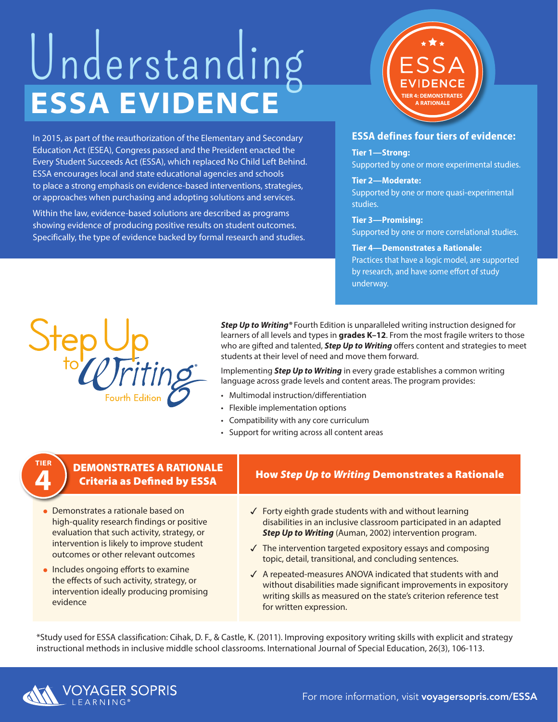# **ESSA EVIDENCE** Understanding

In 2015, as part of the reauthorization of the Elementary and Secondary Education Act (ESEA), Congress passed and the President enacted the Every Student Succeeds Act (ESSA), which replaced No Child Left Behind. ESSA encourages local and state educational agencies and schools to place a strong emphasis on evidence-based interventions, strategies, or approaches when purchasing and adopting solutions and services.

Within the law, evidence-based solutions are described as programs showing evidence of producing positive results on student outcomes. Specifically, the type of evidence backed by formal research and studies.



#### **ESSA defines four tiers of evidence:**

#### **Tier 1—Strong:**

Supported by one or more experimental studies.

#### **Tier 2—Moderate:**  Supported by one or more quasi-experimental studies.

**Tier 3—Promising:**  Supported by one or more correlational studies.

#### **Tier 4—Demonstrates a Rationale:**

Practices that have a logic model, are supported by research, and have some effort of study underway.



**TIER 4**

*Step Up to Writing®* Fourth Edition is unparalleled writing instruction designed for learners of all levels and types in **grades K–12**. From the most fragile writers to those who are gifted and talented, *Step Up to Writing* offers content and strategies to meet students at their level of need and move them forward.

Implementing *Step Up to Writing* in every grade establishes a common writing language across grade levels and content areas. The program provides:

- Multimodal instruction/differentiation
- Flexible implementation options
- Compatibility with any core curriculum
- Support for writing across all content areas

## DEMONSTRATES A RATIONALE

- Demonstrates a rationale based on high-quality research findings or positive evaluation that such activity, strategy, or intervention is likely to improve student outcomes or other relevant outcomes **4**
	- Includes ongoing efforts to examine the effects of such activity, strategy, or intervention ideally producing promising evidence

### Criteria as Defined by ESSA How *Step Up to Writing* Demonstrates a Rationale

- $\checkmark$  Forty eighth grade students with and without learning disabilities in an inclusive classroom participated in an adapted *Step Up to Writing* (Auman, 2002) intervention program.
- $\sqrt{ }$  The intervention targeted expository essays and composing topic, detail, transitional, and concluding sentences.
- $\sqrt{ }$  A repeated-measures ANOVA indicated that students with and without disabilities made significant improvements in expository writing skills as measured on the state's criterion reference test for written expression.

\*Study used for ESSA classification: Cihak, D. F., & Castle, K. (2011). Improving expository writing skills with explicit and strategy instructional methods in inclusive middle school classrooms. International Journal of Special Education, 26(3), 106-113.